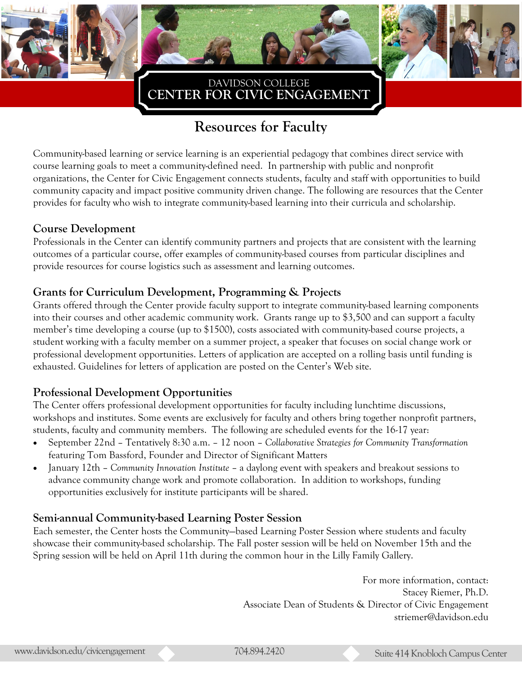



### **CENTER FOR CIVIC ENGAGEMENT**  DAVIDSON COLLEGE

# **Resources for Faculty**

Community-based learning or service learning is an experiential pedagogy that combines direct service with course learning goals to meet a community-defined need. In partnership with public and nonprofit organizations, the Center for Civic Engagement connects students, faculty and staff with opportunities to build community capacity and impact positive community driven change. The following are resources that the Center provides for faculty who wish to integrate community-based learning into their curricula and scholarship.

#### **Course Development**

Professionals in the Center can identify community partners and projects that are consistent with the learning outcomes of a particular course, offer examples of community-based courses from particular disciplines and provide resources for course logistics such as assessment and learning outcomes.

### **Grants for Curriculum Development, Programming & Projects**

Grants offered through the Center provide faculty support to integrate community-based learning components into their courses and other academic community work. Grants range up to \$3,500 and can support a faculty member's time developing a course (up to \$1500), costs associated with community-based course projects, a student working with a faculty member on a summer project, a speaker that focuses on social change work or professional development opportunities. Letters of application are accepted on a rolling basis until funding is exhausted. Guidelines for letters of application are posted on the Center's Web site.

### **Professional Development Opportunities**

The Center offers professional development opportunities for faculty including lunchtime discussions, workshops and institutes. Some events are exclusively for faculty and others bring together nonprofit partners, students, faculty and community members. The following are scheduled events for the 16-17 year:

- September 22nd Tentatively 8:30 a.m. 12 noon *Collaborative Strategies for Community Transformation*  featuring Tom Bassford, Founder and Director of Significant Matters
- January 12th *Community Innovation Institute*  a daylong event with speakers and breakout sessions to advance community change work and promote collaboration. In addition to workshops, funding opportunities exclusively for institute participants will be shared.

#### **Semi-annual Community-based Learning Poster Session**

Each semester, the Center hosts the Community—based Learning Poster Session where students and faculty showcase their community-based scholarship. The Fall poster session will be held on November 15th and the Spring session will be held on April 11th during the common hour in the Lilly Family Gallery.

> For more information, contact: Stacey Riemer, Ph.D. Associate Dean of Students & Director of Civic Engagement striemer@davidson.edu